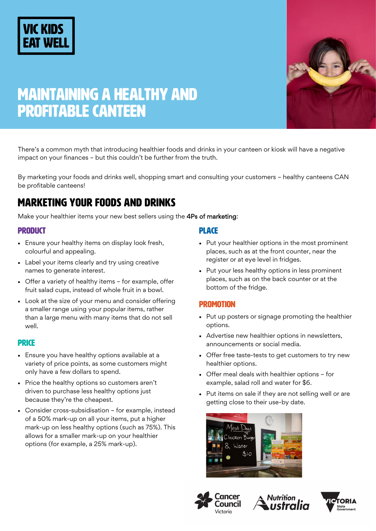# **VIC KIDS**





There's a common myth that introducing healthier foods and drinks in your canteen or kiosk will have a negative impact on your finances – but this couldn't be further from the truth.

By marketing your foods and drinks well, shopping smart and consulting your customers – healthy canteens CAN be profitable canteens!

## MARKETING YOUR FOODS AND DRINKS

Make your healthier items your new best sellers using the 4Ps of marketing:

### **PRODUCT**

- Ensure your healthy items on display look fresh, colourful and appealing.
- Label your items clearly and try using creative names to generate interest.
- Offer a variety of healthy items for example, offer fruit salad cups, instead of whole fruit in a bowl.
- Look at the size of your menu and consider offering a smaller range using your popular items, rather than a large menu with many items that do not sell well.

## **PRICE**

- Ensure you have healthy options available at a variety of price points, as some customers might only have a few dollars to spend.
- Price the healthy options so customers aren't driven to purchase less healthy options just because they're the cheapest.
- Consider cross-subsidisation for example, instead of a 50% mark-up on all your items, put a higher mark-up on less healthy options (such as 75%). This allows for a smaller mark-up on your healthier options (for example, a 25% mark-up).

#### **PLACE**

- Put your healthier options in the most prominent places, such as at the front counter, near the register or at eye level in fridges.
- Put your less healthy options in less prominent places, such as on the back counter or at the bottom of the fridge.

#### **PROMOTION**

- Put up posters or signage promoting the healthier options.
- Advertise new healthier options in newsletters, announcements or social media.
- Offer free taste-tests to get customers to try new healthier options.
- Offer meal deals with healthier options for example, salad roll and water for \$6.
- Put items on sale if they are not selling well or are getting close to their use-by date.